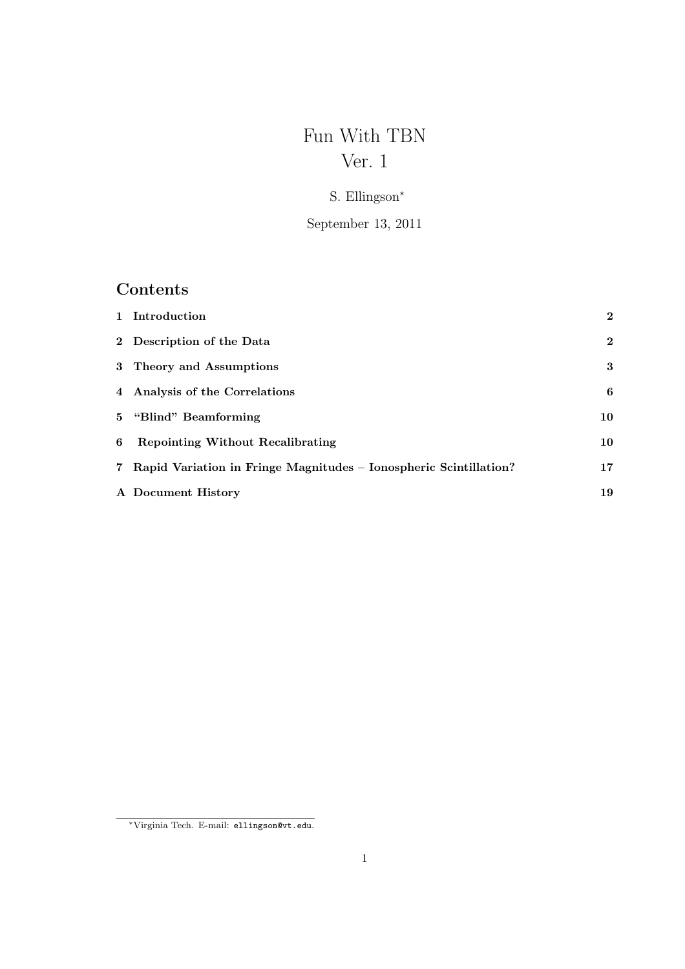# Fun With TBN Ver. 1

## S. Ellingson<sup>∗</sup>

September 13, 2011

# Contents

|   | 1 Introduction                                                      | $\mathbf{2}$ |
|---|---------------------------------------------------------------------|--------------|
|   | 2 Description of the Data                                           | $\mathbf{2}$ |
|   | 3 Theory and Assumptions                                            | 3            |
|   | 4 Analysis of the Correlations                                      | 6            |
|   | 5 "Blind" Beamforming                                               | 10           |
| 6 | <b>Repointing Without Recalibrating</b>                             | 10           |
|   | 7 Rapid Variation in Fringe Magnitudes – Ionospheric Scintillation? | 17           |
|   | A Document History                                                  | 19           |

<sup>∗</sup>Virginia Tech. E-mail: ellingson@vt.edu.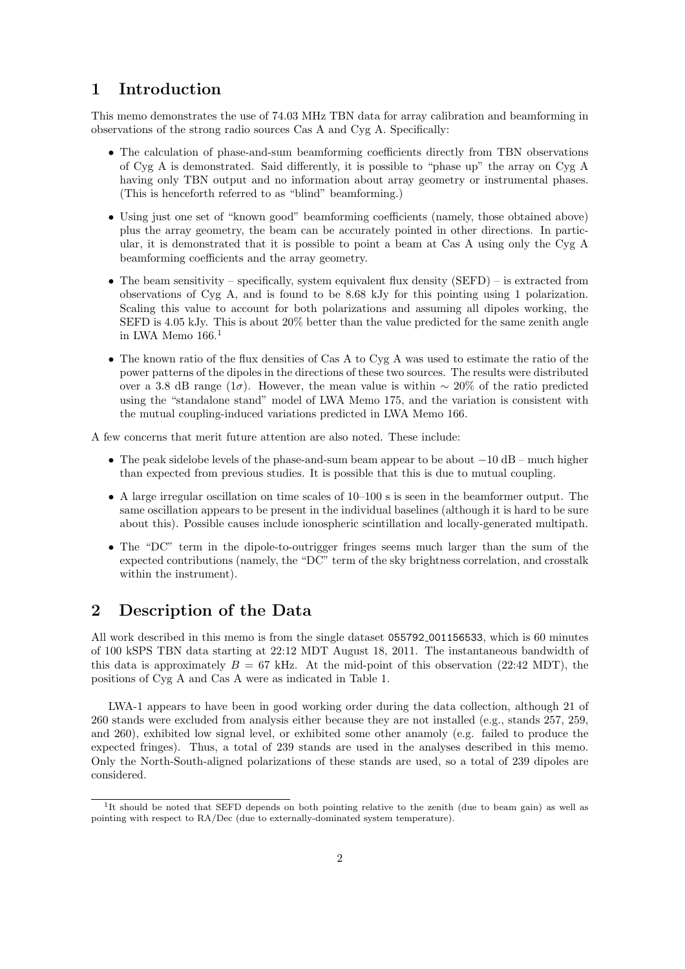### 1 Introduction

This memo demonstrates the use of 74.03 MHz TBN data for array calibration and beamforming in observations of the strong radio sources Cas A and Cyg A. Specifically:

- The calculation of phase-and-sum beamforming coefficients directly from TBN observations of Cyg A is demonstrated. Said differently, it is possible to "phase up" the array on Cyg A having only TBN output and no information about array geometry or instrumental phases. (This is henceforth referred to as "blind" beamforming.)
- Using just one set of "known good" beamforming coefficients (namely, those obtained above) plus the array geometry, the beam can be accurately pointed in other directions. In particular, it is demonstrated that it is possible to point a beam at Cas A using only the Cyg A beamforming coefficients and the array geometry.
- The beam sensitivity specifically, system equivalent flux density  $(SEFD)$  is extracted from observations of Cyg A, and is found to be 8.68 kJy for this pointing using 1 polarization. Scaling this value to account for both polarizations and assuming all dipoles working, the SEFD is 4.05 kJy. This is about 20% better than the value predicted for the same zenith angle in LWA Memo 166.<sup>1</sup>
- The known ratio of the flux densities of Cas A to Cyg A was used to estimate the ratio of the power patterns of the dipoles in the directions of these two sources. The results were distributed over a 3.8 dB range (1 $\sigma$ ). However, the mean value is within ~ 20% of the ratio predicted using the "standalone stand" model of LWA Memo 175, and the variation is consistent with the mutual coupling-induced variations predicted in LWA Memo 166.

A few concerns that merit future attention are also noted. These include:

- The peak sidelobe levels of the phase-and-sum beam appear to be about −10 dB much higher than expected from previous studies. It is possible that this is due to mutual coupling.
- A large irregular oscillation on time scales of 10–100 s is seen in the beamformer output. The same oscillation appears to be present in the individual baselines (although it is hard to be sure about this). Possible causes include ionospheric scintillation and locally-generated multipath.
- The "DC" term in the dipole-to-outrigger fringes seems much larger than the sum of the expected contributions (namely, the "DC" term of the sky brightness correlation, and crosstalk within the instrument).

## 2 Description of the Data

All work described in this memo is from the single dataset 055792 001156533, which is 60 minutes of 100 kSPS TBN data starting at 22:12 MDT August 18, 2011. The instantaneous bandwidth of this data is approximately  $B = 67$  kHz. At the mid-point of this observation (22:42 MDT), the positions of Cyg A and Cas A were as indicated in Table 1.

LWA-1 appears to have been in good working order during the data collection, although 21 of 260 stands were excluded from analysis either because they are not installed (e.g., stands 257, 259, and 260), exhibited low signal level, or exhibited some other anamoly (e.g. failed to produce the expected fringes). Thus, a total of 239 stands are used in the analyses described in this memo. Only the North-South-aligned polarizations of these stands are used, so a total of 239 dipoles are considered.

<sup>&</sup>lt;sup>1</sup>It should be noted that SEFD depends on both pointing relative to the zenith (due to beam gain) as well as pointing with respect to RA/Dec (due to externally-dominated system temperature).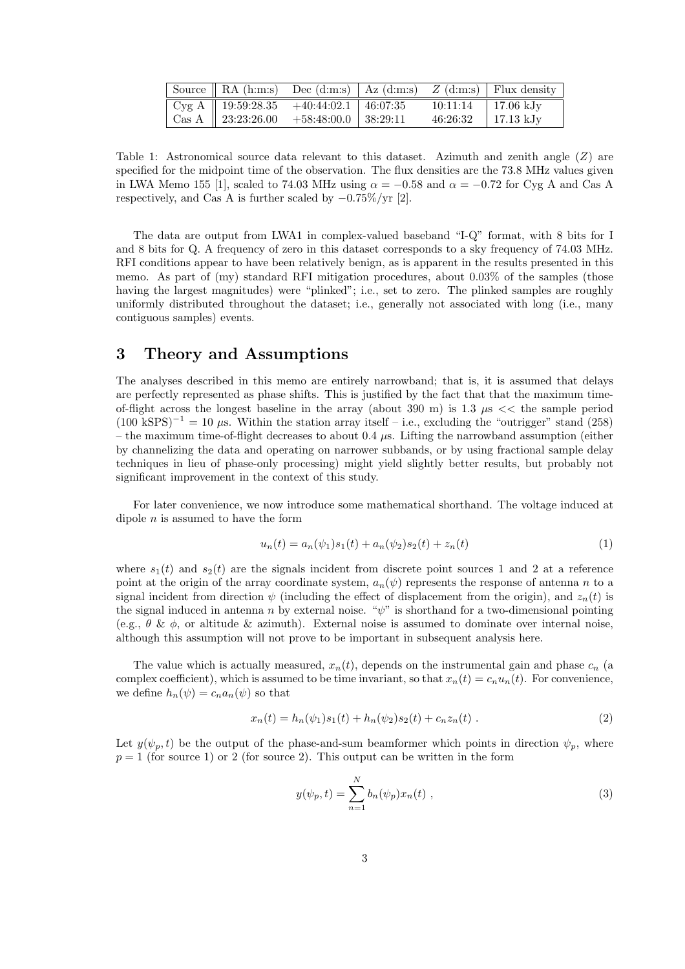|  | Source    RA (h:m:s) Dec (d:m:s)   Az (d:m:s) $Z$ (d:m:s)   Flux density |                        |  |
|--|--------------------------------------------------------------------------|------------------------|--|
|  |                                                                          | $10:11:14$   17.06 kJy |  |
|  | Cas A    23:23:26.00 +58:48:00.0   38:29:11                              | $46:26:32$   17.13 kJy |  |

Table 1: Astronomical source data relevant to this dataset. Azimuth and zenith angle  $(Z)$  are specified for the midpoint time of the observation. The flux densities are the 73.8 MHz values given in LWA Memo 155 [1], scaled to 74.03 MHz using  $\alpha = -0.58$  and  $\alpha = -0.72$  for Cyg A and Cas A respectively, and Cas A is further scaled by −0.75%/yr [2].

The data are output from LWA1 in complex-valued baseband "I-Q" format, with 8 bits for I and 8 bits for Q. A frequency of zero in this dataset corresponds to a sky frequency of 74.03 MHz. RFI conditions appear to have been relatively benign, as is apparent in the results presented in this memo. As part of (my) standard RFI mitigation procedures, about 0.03% of the samples (those having the largest magnitudes) were "plinked"; i.e., set to zero. The plinked samples are roughly uniformly distributed throughout the dataset; i.e., generally not associated with long (i.e., many contiguous samples) events.

#### 3 Theory and Assumptions

The analyses described in this memo are entirely narrowband; that is, it is assumed that delays are perfectly represented as phase shifts. This is justified by the fact that that the maximum timeof-flight across the longest baseline in the array (about 390 m) is 1.3  $\mu$ s << the sample period  $(100 \text{ kSPS})^{-1} = 10 \mu\text{s}$ . Within the station array itself – i.e., excluding the "outrigger" stand (258) – the maximum time-of-flight decreases to about 0.4  $\mu$ s. Lifting the narrowband assumption (either by channelizing the data and operating on narrower subbands, or by using fractional sample delay techniques in lieu of phase-only processing) might yield slightly better results, but probably not significant improvement in the context of this study.

For later convenience, we now introduce some mathematical shorthand. The voltage induced at dipole  $n$  is assumed to have the form

$$
u_n(t) = a_n(\psi_1)s_1(t) + a_n(\psi_2)s_2(t) + z_n(t)
$$
\n(1)

where  $s_1(t)$  and  $s_2(t)$  are the signals incident from discrete point sources 1 and 2 at a reference point at the origin of the array coordinate system,  $a_n(\psi)$  represents the response of antenna n to a signal incident from direction  $\psi$  (including the effect of displacement from the origin), and  $z_n(t)$  is the signal induced in antenna n by external noise. " $\psi$ " is shorthand for a two-dimensional pointing (e.g.,  $\theta \& \phi$ , or altitude  $\&$  azimuth). External noise is assumed to dominate over internal noise, although this assumption will not prove to be important in subsequent analysis here.

The value which is actually measured,  $x_n(t)$ , depends on the instrumental gain and phase  $c_n$  (a complex coefficient), which is assumed to be time invariant, so that  $x_n(t) = c_n u_n(t)$ . For convenience, we define  $h_n(\psi) = c_n a_n(\psi)$  so that

$$
x_n(t) = h_n(\psi_1)s_1(t) + h_n(\psi_2)s_2(t) + c_n z_n(t) . \tag{2}
$$

Let  $y(\psi_p, t)$  be the output of the phase-and-sum beamformer which points in direction  $\psi_p$ , where  $p = 1$  (for source 1) or 2 (for source 2). This output can be written in the form

$$
y(\psi_p, t) = \sum_{n=1}^{N} b_n(\psi_p) x_n(t) , \qquad (3)
$$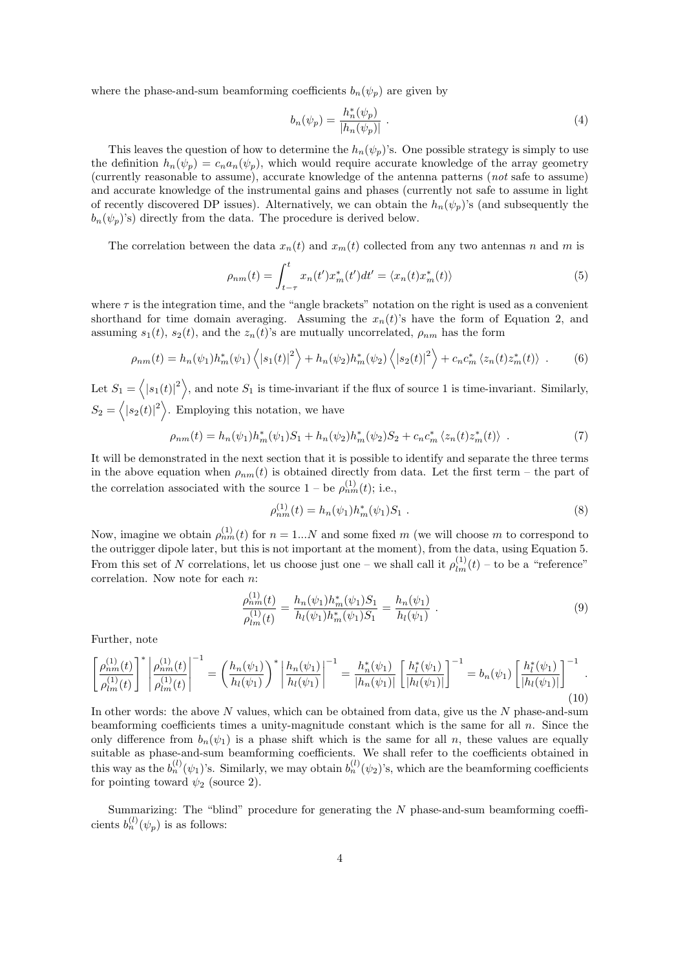where the phase-and-sum beamforming coefficients  $b_n(\psi_p)$  are given by

$$
b_n(\psi_p) = \frac{h_n^*(\psi_p)}{|h_n(\psi_p)|} \ . \tag{4}
$$

This leaves the question of how to determine the  $h_n(\psi_p)$ 's. One possible strategy is simply to use the definition  $h_n(\psi_p) = c_n a_n(\psi_p)$ , which would require accurate knowledge of the array geometry (currently reasonable to assume), accurate knowledge of the antenna patterns (not safe to assume) and accurate knowledge of the instrumental gains and phases (currently not safe to assume in light of recently discovered DP issues). Alternatively, we can obtain the  $h_n(\psi_p)$ 's (and subsequently the  $b_n(\psi_p)$ 's) directly from the data. The procedure is derived below.

The correlation between the data  $x_n(t)$  and  $x_m(t)$  collected from any two antennas n and m is

$$
\rho_{nm}(t) = \int_{t-\tau}^{t} x_n(t') x_m^*(t') dt' = \langle x_n(t) x_m^*(t) \rangle \tag{5}
$$

where  $\tau$  is the integration time, and the "angle brackets" notation on the right is used as a convenient shorthand for time domain averaging. Assuming the  $x_n(t)$ 's have the form of Equation 2, and assuming  $s_1(t)$ ,  $s_2(t)$ , and the  $z_n(t)$ 's are mutually uncorrelated,  $\rho_{nm}$  has the form

$$
\rho_{nm}(t) = h_n(\psi_1) h_m^*(\psi_1) \left\langle |s_1(t)|^2 \right\rangle + h_n(\psi_2) h_m^*(\psi_2) \left\langle |s_2(t)|^2 \right\rangle + c_n c_m^* \left\langle z_n(t) z_m^*(t) \right\rangle . \tag{6}
$$

Let  $S_1 = \langle |s_1(t)|^2 \rangle$ , and note  $S_1$  is time-invariant if the flux of source 1 is time-invariant. Similarly,  $S_2 = \langle |s_2(t)|^2 \rangle$ . Employing this notation, we have

$$
\rho_{nm}(t) = h_n(\psi_1)h_m^*(\psi_1)S_1 + h_n(\psi_2)h_m^*(\psi_2)S_2 + c_n c_m^*(z_n(t)z_m^*(t)) \quad . \tag{7}
$$

It will be demonstrated in the next section that it is possible to identify and separate the three terms in the above equation when  $\rho_{nm}(t)$  is obtained directly from data. Let the first term – the part of the correlation associated with the source  $1 -$  be  $\rho_{nm}^{(1)}(t)$ ; i.e.,

$$
\rho_{nm}^{(1)}(t) = h_n(\psi_1) h_m^*(\psi_1) S_1 \tag{8}
$$

Now, imagine we obtain  $\rho_{nm}^{(1)}(t)$  for  $n = 1...N$  and some fixed m (we will choose m to correspond to the outrigger dipole later, but this is not important at the moment), from the data, using Equation 5. From this set of N correlations, let us choose just one – we shall call it  $\rho_{lm}^{(1)}(t)$  – to be a "reference" correlation. Now note for each n:

$$
\frac{\rho_{nm}^{(1)}(t)}{\rho_{lm}^{(1)}(t)} = \frac{h_n(\psi_1)h_m^*(\psi_1)S_1}{h_l(\psi_1)h_m^*(\psi_1)S_1} = \frac{h_n(\psi_1)}{h_l(\psi_1)}.
$$
\n(9)

Further, note

$$
\left[\frac{\rho_{nm}^{(1)}(t)}{\rho_{lm}^{(1)}(t)}\right]^* \left|\frac{\rho_{nm}^{(1)}(t)}{\rho_{lm}^{(1)}(t)}\right|^{-1} = \left(\frac{h_n(\psi_1)}{h_l(\psi_1)}\right)^* \left|\frac{h_n(\psi_1)}{h_l(\psi_1)}\right|^{-1} = \frac{h_n^*(\psi_1)}{|h_n(\psi_1)|} \left[\frac{h_l^*(\psi_1)}{|h_l(\psi_1)|}\right]^{-1} = b_n(\psi_1) \left[\frac{h_l^*(\psi_1)}{|h_l(\psi_1)|}\right]^{-1}.
$$
\n(10)

In other words: the above  $N$  values, which can be obtained from data, give us the  $N$  phase-and-sum beamforming coefficients times a unity-magnitude constant which is the same for all  $n$ . Since the only difference from  $b_n(\psi_1)$  is a phase shift which is the same for all n, these values are equally suitable as phase-and-sum beamforming coefficients. We shall refer to the coefficients obtained in this way as the  $b_n^{(l)}(\psi_1)$ 's. Similarly, we may obtain  $b_n^{(l)}(\psi_2)$ 's, which are the beamforming coefficients for pointing toward  $\psi_2$  (source 2).

Summarizing: The "blind" procedure for generating the N phase-and-sum beamforming coefficients  $b_n^{(l)}(\psi_p)$  is as follows: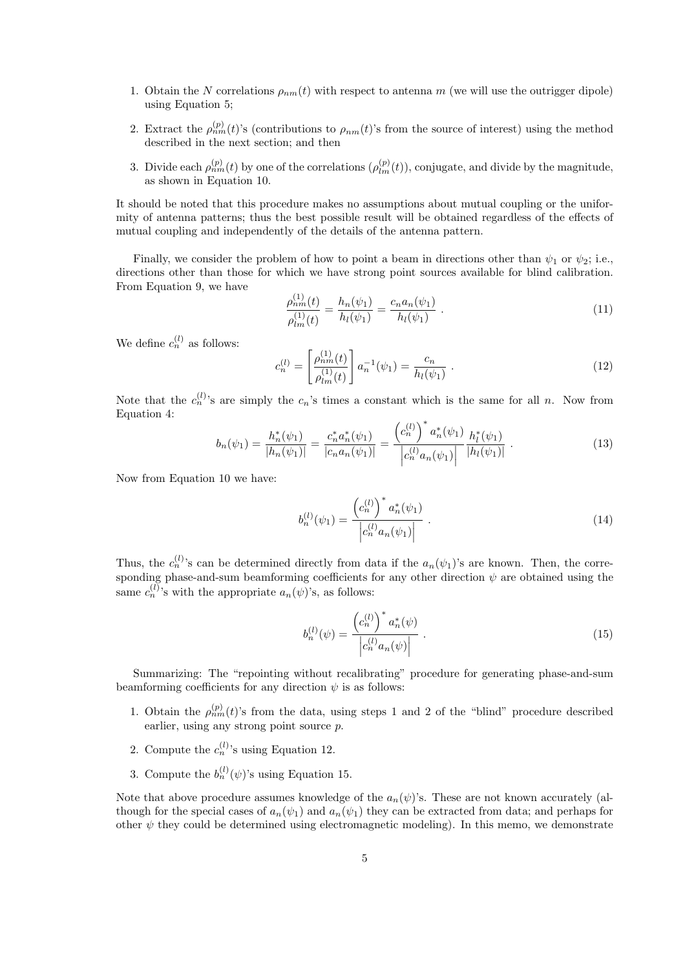- 1. Obtain the N correlations  $\rho_{nm}(t)$  with respect to antenna m (we will use the outrigger dipole) using Equation 5;
- 2. Extract the  $\rho_{nm}^{(p)}(t)$ 's (contributions to  $\rho_{nm}(t)$ 's from the source of interest) using the method described in the next section; and then
- 3. Divide each  $\rho_{nm}^{(p)}(t)$  by one of the correlations  $(\rho_{lm}^{(p)}(t))$ , conjugate, and divide by the magnitude, as shown in Equation 10.

It should be noted that this procedure makes no assumptions about mutual coupling or the uniformity of antenna patterns; thus the best possible result will be obtained regardless of the effects of mutual coupling and independently of the details of the antenna pattern.

Finally, we consider the problem of how to point a beam in directions other than  $\psi_1$  or  $\psi_2$ ; i.e., directions other than those for which we have strong point sources available for blind calibration. From Equation 9, we have

$$
\frac{\rho_{nn}^{(1)}(t)}{\rho_{lm}^{(1)}(t)} = \frac{h_n(\psi_1)}{h_l(\psi_1)} = \frac{c_n a_n(\psi_1)}{h_l(\psi_1)} .
$$
\n(11)

We define  $c_n^{(l)}$  as follows:

$$
c_n^{(l)} = \left[\frac{\rho_{nm}^{(1)}(t)}{\rho_{lm}^{(1)}(t)}\right] a_n^{-1}(\psi_1) = \frac{c_n}{h_l(\psi_1)}.
$$
\n(12)

Note that the  $c_n^{(l)}$ 's are simply the  $c_n$ 's times a constant which is the same for all n. Now from Equation 4:

$$
b_n(\psi_1) = \frac{h_n^*(\psi_1)}{|h_n(\psi_1)|} = \frac{c_n^* a_n^*(\psi_1)}{|c_n a_n(\psi_1)|} = \frac{\left(c_n^{(l)}\right)^* a_n^*(\psi_1)}{\left|c_n^{(l)} a_n(\psi_1)\right|} \frac{h_l^*(\psi_1)}{|h_l(\psi_1)|} . \tag{13}
$$

Now from Equation 10 we have:

$$
b_n^{(l)}(\psi_1) = \frac{\left(c_n^{(l)}\right)^* a_n^*(\psi_1)}{\left|c_n^{(l)} a_n(\psi_1)\right|} \tag{14}
$$

Thus, the  $c_n^{(l)}$ 's can be determined directly from data if the  $a_n(\psi_1)$ 's are known. Then, the corresponding phase-and-sum beamforming coefficients for any other direction  $\psi$  are obtained using the same  $c_n^{(l)}$ 's with the appropriate  $a_n(\psi)$ 's, as follows:

$$
b_n^{(l)}(\psi) = \frac{\left(c_n^{(l)}\right)^* a_n^*(\psi)}{\left|c_n^{(l)} a_n(\psi)\right|} \ . \tag{15}
$$

Summarizing: The "repointing without recalibrating" procedure for generating phase-and-sum beamforming coefficients for any direction  $\psi$  is as follows:

- 1. Obtain the  $\rho_{nm}^{(p)}(t)$ 's from the data, using steps 1 and 2 of the "blind" procedure described earlier, using any strong point source p.
- 2. Compute the  $c_n^{(l)}$ 's using Equation 12.
- 3. Compute the  $b_n^{(l)}(\psi)$ 's using Equation 15.

Note that above procedure assumes knowledge of the  $a_n(\psi)$ 's. These are not known accurately (although for the special cases of  $a_n(\psi_1)$  and  $a_n(\psi_1)$  they can be extracted from data; and perhaps for other  $\psi$  they could be determined using electromagnetic modeling). In this memo, we demonstrate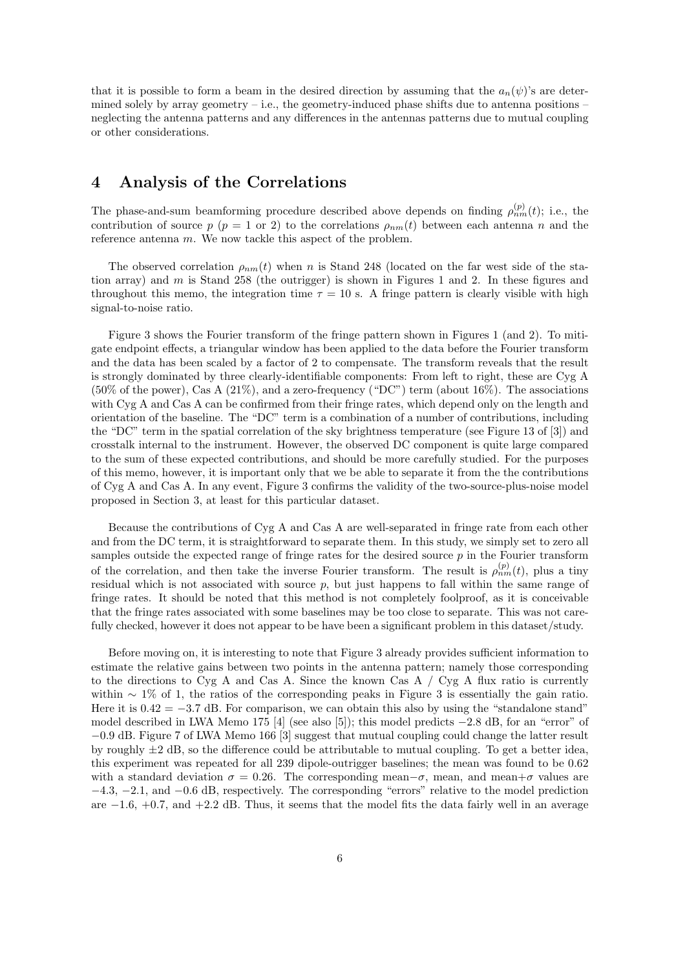that it is possible to form a beam in the desired direction by assuming that the  $a_n(\psi)$ 's are determined solely by array geometry – i.e., the geometry-induced phase shifts due to antenna positions – neglecting the antenna patterns and any differences in the antennas patterns due to mutual coupling or other considerations.

#### 4 Analysis of the Correlations

The phase-and-sum beamforming procedure described above depends on finding  $\rho_{nm}^{(p)}(t)$ ; i.e., the contribution of source p ( $p = 1$  or 2) to the correlations  $\rho_{nm}(t)$  between each antenna n and the reference antenna m. We now tackle this aspect of the problem.

The observed correlation  $\rho_{nm}(t)$  when n is Stand 248 (located on the far west side of the station array) and m is Stand 258 (the outrigger) is shown in Figures 1 and 2. In these figures and throughout this memo, the integration time  $\tau = 10$  s. A fringe pattern is clearly visible with high signal-to-noise ratio.

Figure 3 shows the Fourier transform of the fringe pattern shown in Figures 1 (and 2). To mitigate endpoint effects, a triangular window has been applied to the data before the Fourier transform and the data has been scaled by a factor of 2 to compensate. The transform reveals that the result is strongly dominated by three clearly-identifiable components: From left to right, these are Cyg A  $(50\% \text{ of the power})$ , Cas A  $(21\%)$ , and a zero-frequency  $(40\degree \text{C})$  term (about  $16\%$ ). The associations with Cyg A and Cas A can be confirmed from their fringe rates, which depend only on the length and orientation of the baseline. The "DC" term is a combination of a number of contributions, including the "DC" term in the spatial correlation of the sky brightness temperature (see Figure 13 of [3]) and crosstalk internal to the instrument. However, the observed DC component is quite large compared to the sum of these expected contributions, and should be more carefully studied. For the purposes of this memo, however, it is important only that we be able to separate it from the the contributions of Cyg A and Cas A. In any event, Figure 3 confirms the validity of the two-source-plus-noise model proposed in Section 3, at least for this particular dataset.

Because the contributions of Cyg A and Cas A are well-separated in fringe rate from each other and from the DC term, it is straightforward to separate them. In this study, we simply set to zero all samples outside the expected range of fringe rates for the desired source  $p$  in the Fourier transform of the correlation, and then take the inverse Fourier transform. The result is  $\rho_{nm}^{(p)}(t)$ , plus a tiny residual which is not associated with source  $p$ , but just happens to fall within the same range of fringe rates. It should be noted that this method is not completely foolproof, as it is conceivable that the fringe rates associated with some baselines may be too close to separate. This was not carefully checked, however it does not appear to be have been a significant problem in this dataset/study.

Before moving on, it is interesting to note that Figure 3 already provides sufficient information to estimate the relative gains between two points in the antenna pattern; namely those corresponding to the directions to Cyg A and Cas A. Since the known Cas A  $\prime$  Cyg A flux ratio is currently within  $\sim 1\%$  of 1, the ratios of the corresponding peaks in Figure 3 is essentially the gain ratio. Here it is  $0.42 = -3.7$  dB. For comparison, we can obtain this also by using the "standalone stand" model described in LWA Memo 175 [4] (see also [5]); this model predicts  $-2.8$  dB, for an "error" of −0.9 dB. Figure 7 of LWA Memo 166 [3] suggest that mutual coupling could change the latter result by roughly  $\pm 2$  dB, so the difference could be attributable to mutual coupling. To get a better idea, this experiment was repeated for all 239 dipole-outrigger baselines; the mean was found to be 0.62 with a standard deviation  $\sigma = 0.26$ . The corresponding mean– $\sigma$ , mean, and mean+ $\sigma$  values are −4.3, −2.1, and −0.6 dB, respectively. The corresponding "errors" relative to the model prediction are  $-1.6$ ,  $+0.7$ , and  $+2.2$  dB. Thus, it seems that the model fits the data fairly well in an average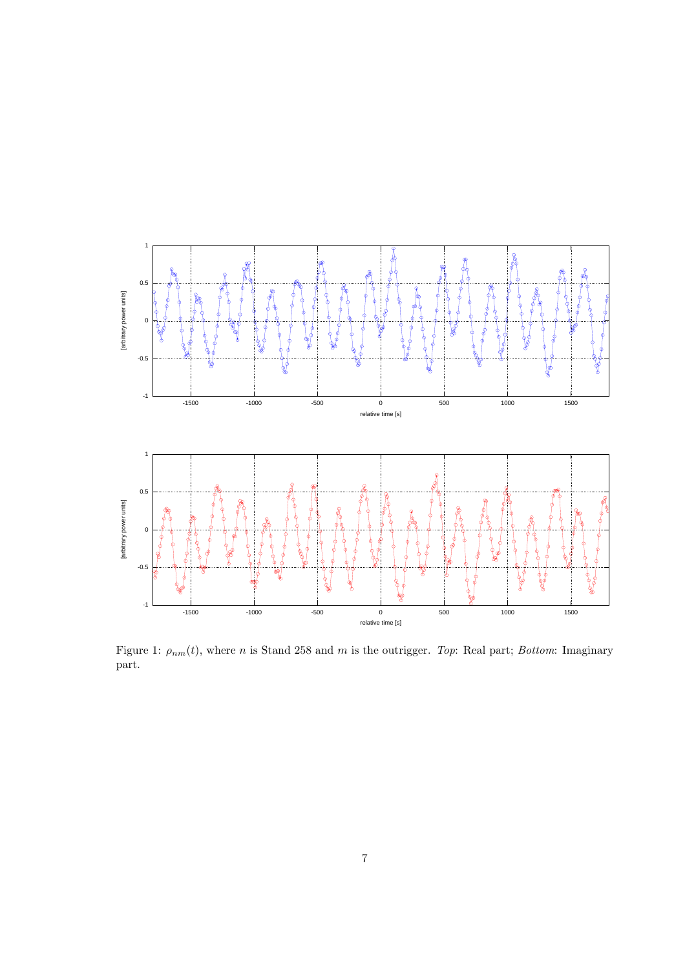

Figure 1:  $\rho_{nm}(t)$ , where n is Stand 258 and m is the outrigger. Top: Real part; Bottom: Imaginary part.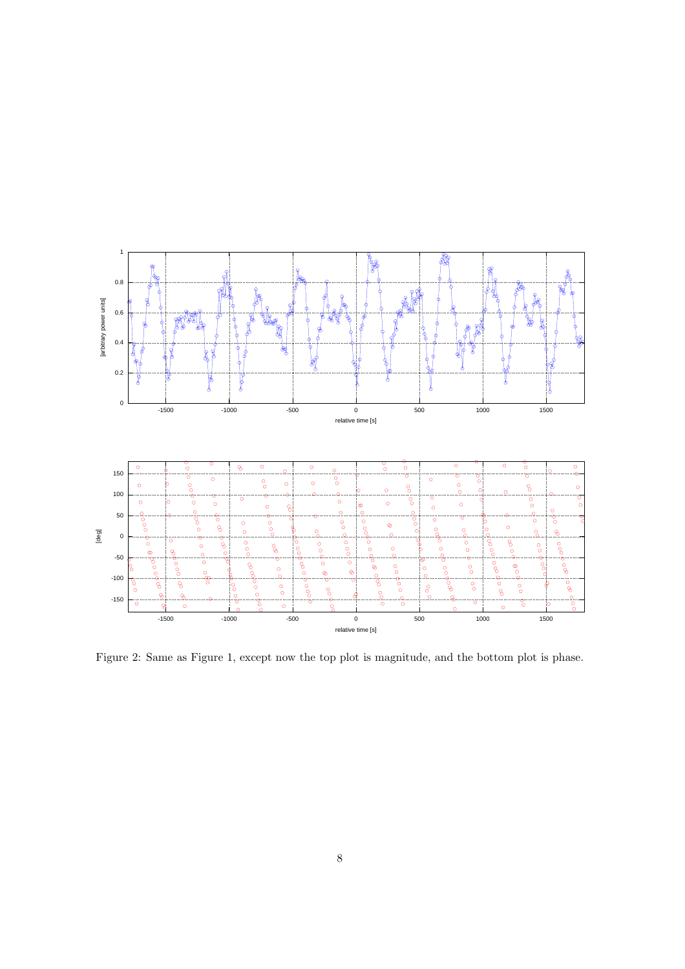

Figure 2: Same as Figure 1, except now the top plot is magnitude, and the bottom plot is phase.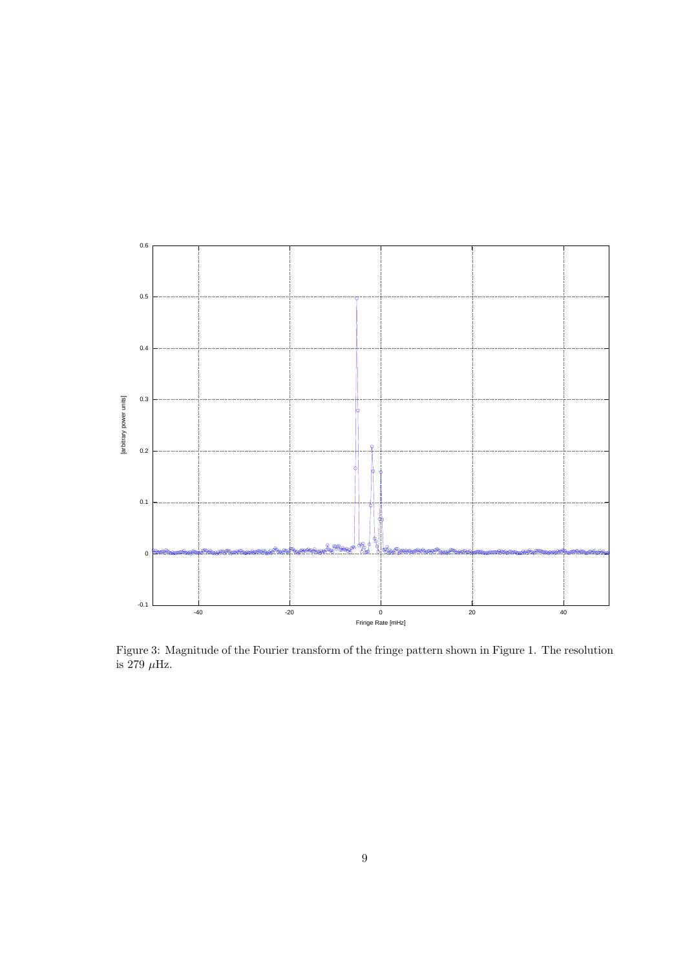

Figure 3: Magnitude of the Fourier transform of the fringe pattern shown in Figure 1. The resolution is  $279 \mu$ Hz.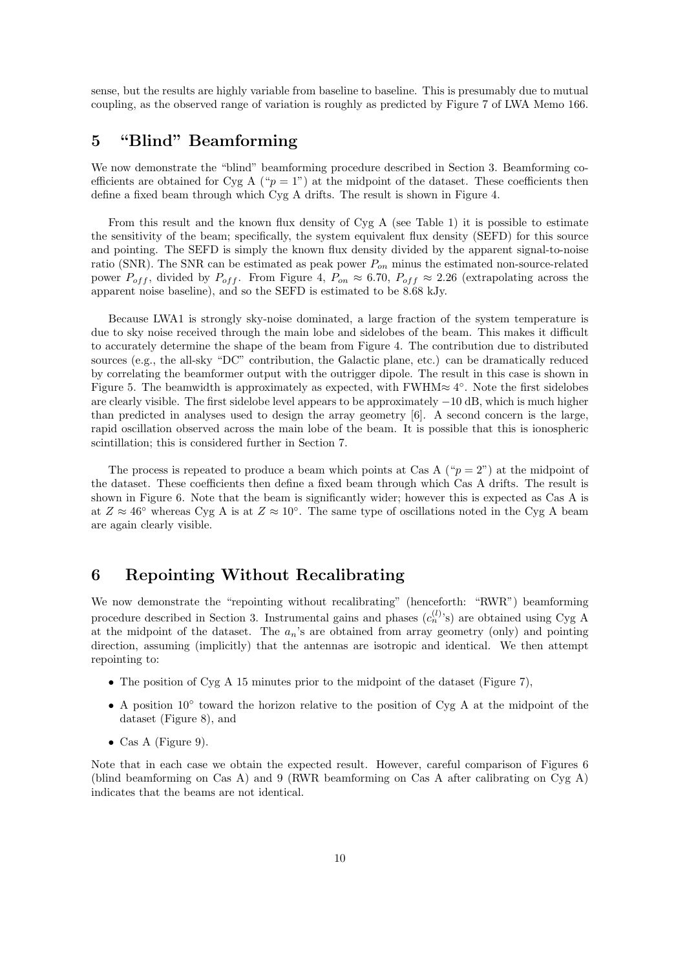sense, but the results are highly variable from baseline to baseline. This is presumably due to mutual coupling, as the observed range of variation is roughly as predicted by Figure 7 of LWA Memo 166.

#### 5 "Blind" Beamforming

We now demonstrate the "blind" beamforming procedure described in Section 3. Beamforming coefficients are obtained for Cyg A (" $p = 1$ ") at the midpoint of the dataset. These coefficients then define a fixed beam through which Cyg A drifts. The result is shown in Figure 4.

From this result and the known flux density of Cyg A (see Table 1) it is possible to estimate the sensitivity of the beam; specifically, the system equivalent flux density (SEFD) for this source and pointing. The SEFD is simply the known flux density divided by the apparent signal-to-noise ratio (SNR). The SNR can be estimated as peak power  $P_{on}$  minus the estimated non-source-related power  $P_{off}$ , divided by  $P_{off}$ . From Figure 4,  $P_{on} \approx 6.70$ ,  $P_{off} \approx 2.26$  (extrapolating across the apparent noise baseline), and so the SEFD is estimated to be 8.68 kJy.

Because LWA1 is strongly sky-noise dominated, a large fraction of the system temperature is due to sky noise received through the main lobe and sidelobes of the beam. This makes it difficult to accurately determine the shape of the beam from Figure 4. The contribution due to distributed sources (e.g., the all-sky "DC" contribution, the Galactic plane, etc.) can be dramatically reduced by correlating the beamformer output with the outrigger dipole. The result in this case is shown in Figure 5. The beamwidth is approximately as expected, with FWHM $\approx 4^{\circ}$ . Note the first sidelobes are clearly visible. The first sidelobe level appears to be approximately −10 dB, which is much higher than predicted in analyses used to design the array geometry [6]. A second concern is the large, rapid oscillation observed across the main lobe of the beam. It is possible that this is ionospheric scintillation; this is considered further in Section 7.

The process is repeated to produce a beam which points at Cas A (" $p = 2$ ") at the midpoint of the dataset. These coefficients then define a fixed beam through which Cas A drifts. The result is shown in Figure 6. Note that the beam is significantly wider; however this is expected as Cas A is at  $Z \approx 46^\circ$  whereas Cyg A is at  $Z \approx 10^\circ$ . The same type of oscillations noted in the Cyg A beam are again clearly visible.

#### 6 Repointing Without Recalibrating

We now demonstrate the "repointing without recalibrating" (henceforth: "RWR") beamforming procedure described in Section 3. Instrumental gains and phases  $(c_n^{(l)}s)$  are obtained using Cyg A at the midpoint of the dataset. The  $a_n$ 's are obtained from array geometry (only) and pointing direction, assuming (implicitly) that the antennas are isotropic and identical. We then attempt repointing to:

- The position of Cyg A 15 minutes prior to the midpoint of the dataset (Figure 7),
- A position 10° toward the horizon relative to the position of Cyg A at the midpoint of the dataset (Figure 8), and
- Cas A (Figure 9).

Note that in each case we obtain the expected result. However, careful comparison of Figures 6 (blind beamforming on Cas A) and 9 (RWR beamforming on Cas A after calibrating on Cyg A) indicates that the beams are not identical.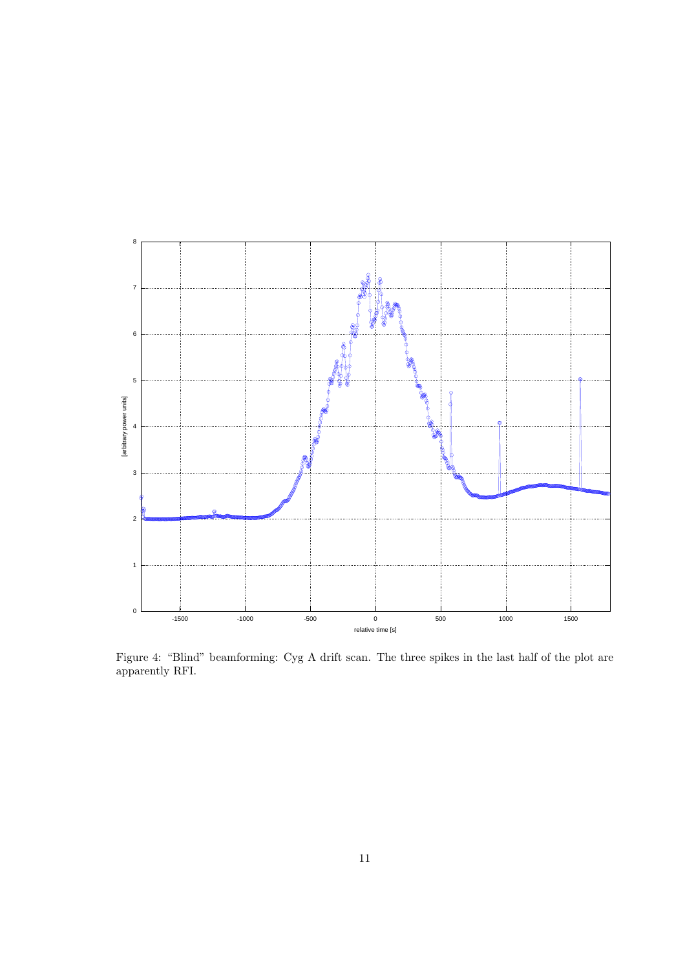

Figure 4: "Blind" beamforming: Cyg A drift scan. The three spikes in the last half of the plot are apparently RFI.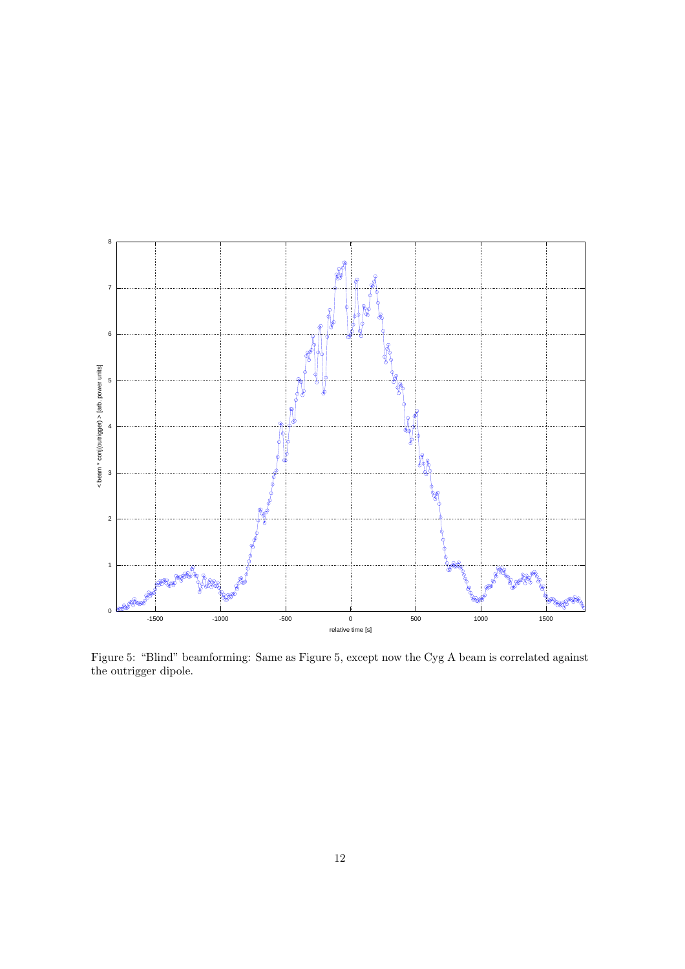

Figure 5: "Blind" beamforming: Same as Figure 5, except now the Cyg A beam is correlated against the outrigger dipole.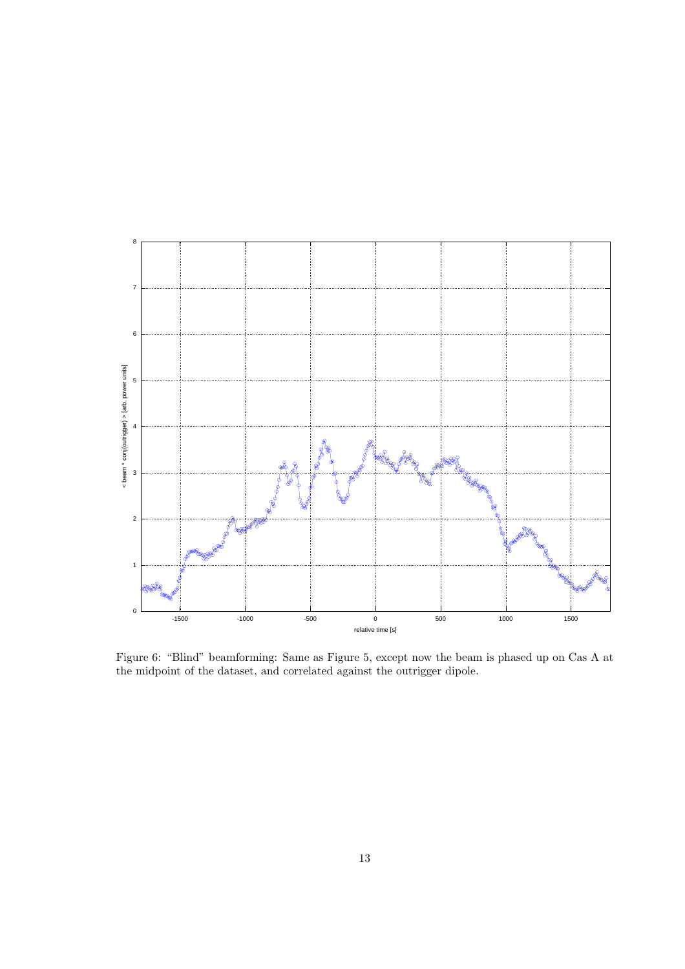

Figure 6: "Blind" beamforming: Same as Figure 5, except now the beam is phased up on Cas A at the midpoint of the dataset, and correlated against the outrigger dipole.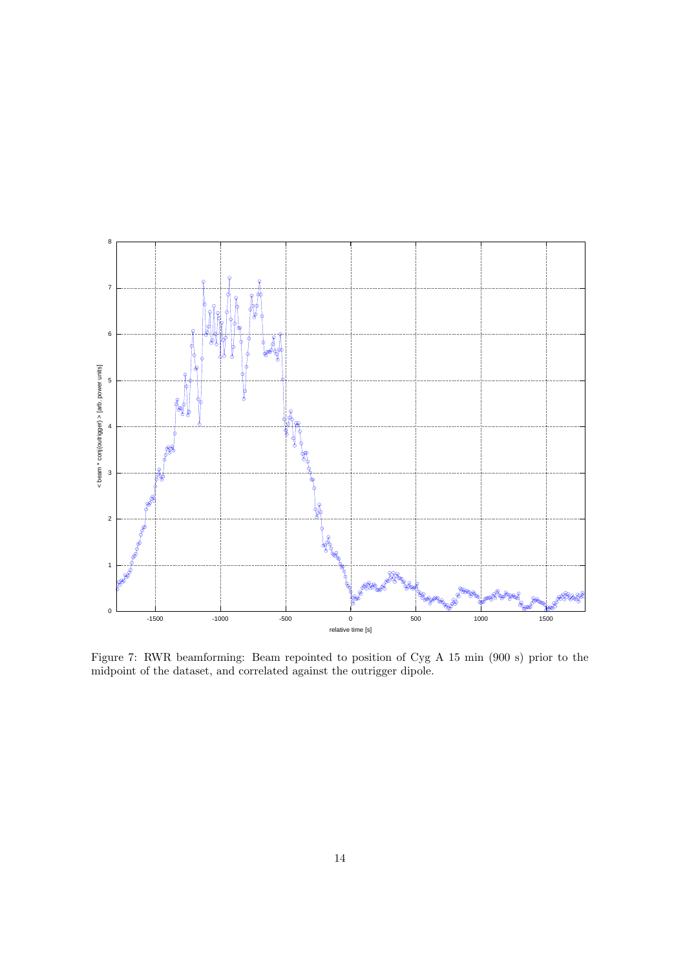

Figure 7: RWR beamforming: Beam repointed to position of Cyg A 15 min (900 s) prior to the midpoint of the dataset, and correlated against the outrigger dipole.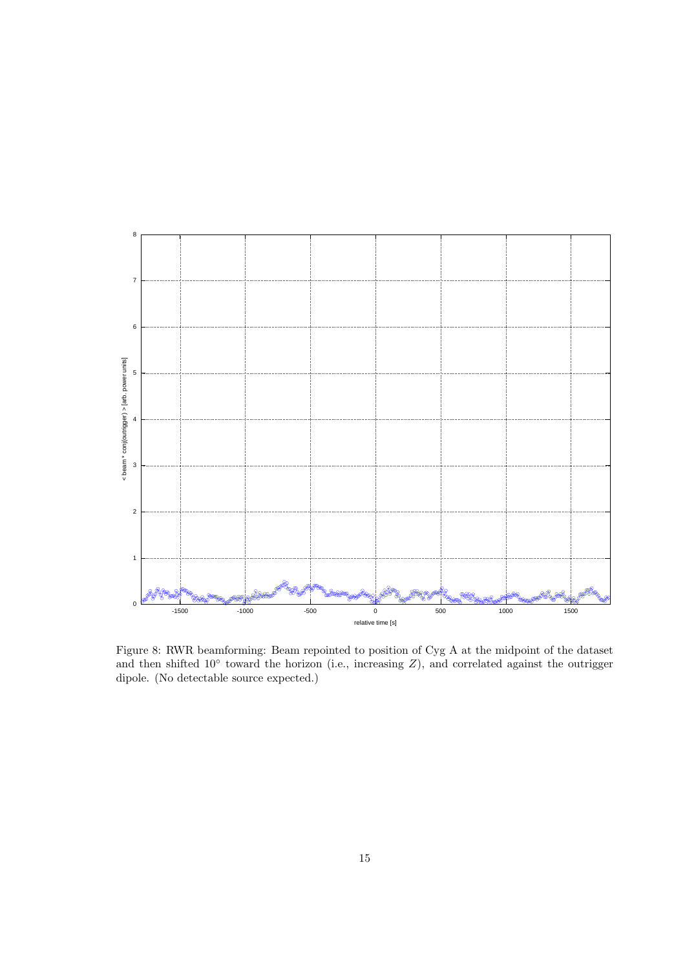

Figure 8: RWR beamforming: Beam repointed to position of Cyg A at the midpoint of the dataset and then shifted 10° toward the horizon (i.e., increasing  $Z$ ), and correlated against the outrigger dipole. (No detectable source expected.)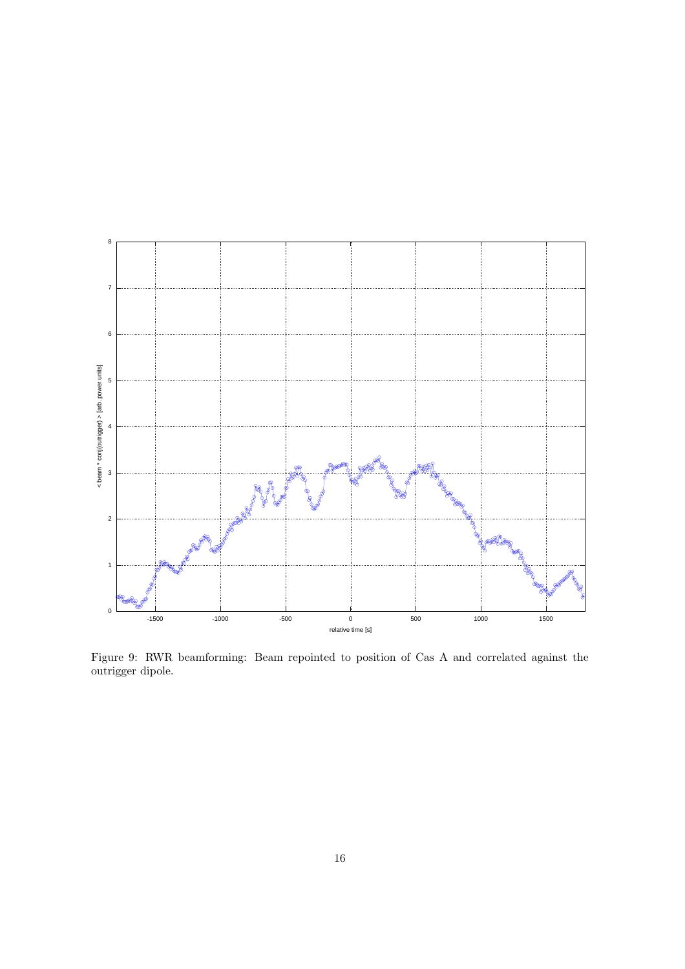

Figure 9: RWR beamforming: Beam repointed to position of Cas A and correlated against the outrigger dipole.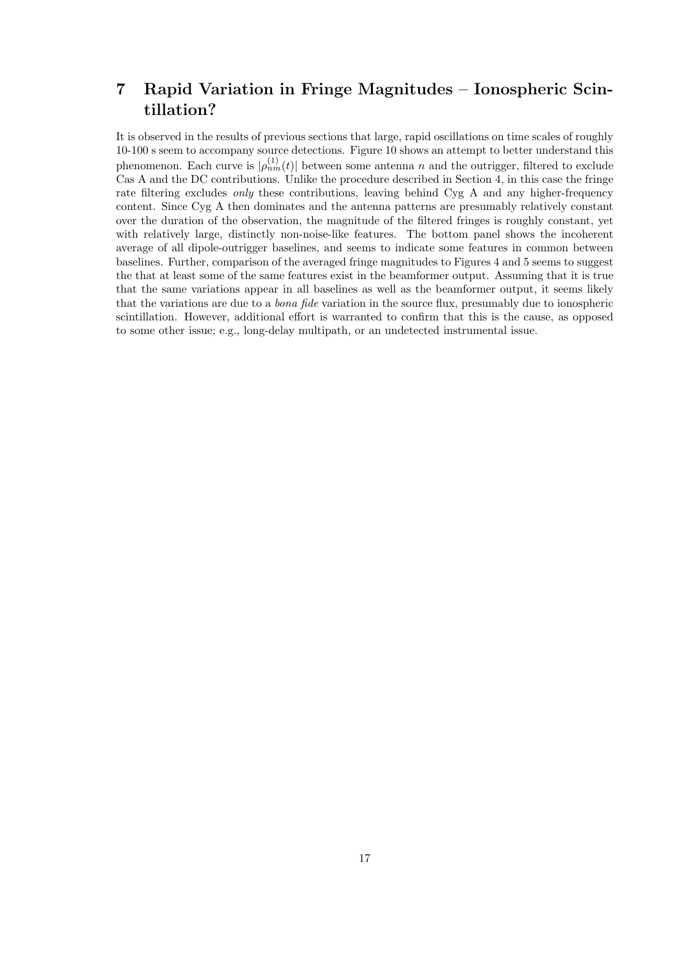# 7 Rapid Variation in Fringe Magnitudes – Ionospheric Scintillation?

It is observed in the results of previous sections that large, rapid oscillations on time scales of roughly 10-100 s seem to accompany source detections. Figure 10 shows an attempt to better understand this phenomenon. Each curve is  $|\rho_{nm}^{(1)}(t)|$  between some antenna n and the outrigger, filtered to exclude Cas A and the DC contributions. Unlike the procedure described in Section 4, in this case the fringe rate filtering excludes *only* these contributions, leaving behind Cyg A and any higher-frequency content. Since Cyg A then dominates and the antenna patterns are presumably relatively constant over the duration of the observation, the magnitude of the filtered fringes is roughly constant, yet with relatively large, distinctly non-noise-like features. The bottom panel shows the incoherent average of all dipole-outrigger baselines, and seems to indicate some features in common between baselines. Further, comparison of the averaged fringe magnitudes to Figures 4 and 5 seems to suggest the that at least some of the same features exist in the beamformer output. Assuming that it is true that the same variations appear in all baselines as well as the beamformer output, it seems likely that the variations are due to a bona fide variation in the source flux, presumably due to ionospheric scintillation. However, additional effort is warranted to confirm that this is the cause, as opposed to some other issue; e.g., long-delay multipath, or an undetected instrumental issue.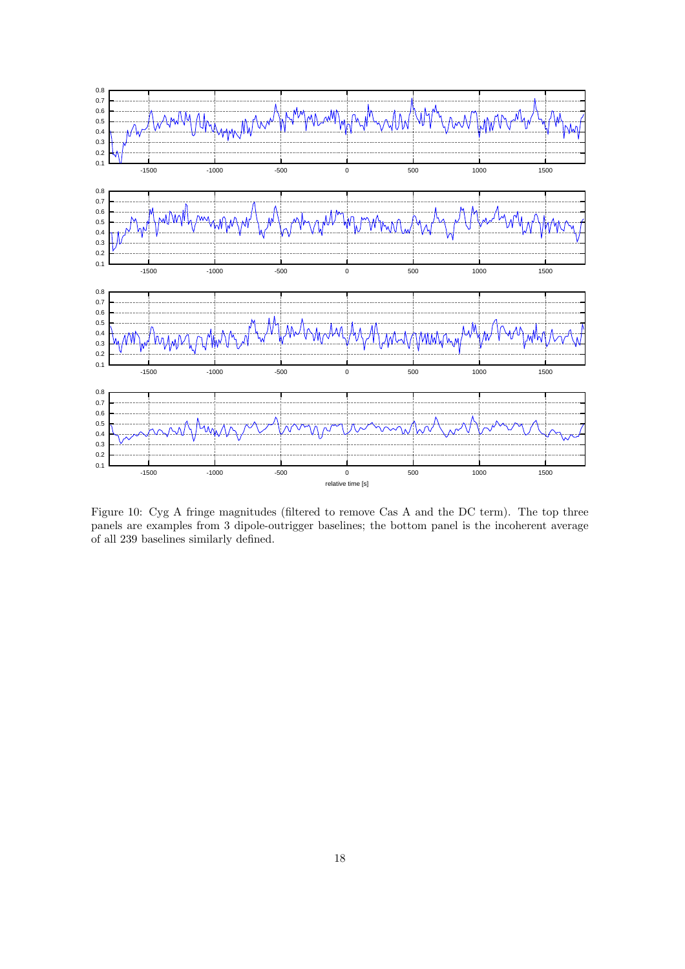

Figure 10: Cyg A fringe magnitudes (filtered to remove Cas A and the DC term). The top three panels are examples from 3 dipole-outrigger baselines; the bottom panel is the incoherent average of all 239 baselines similarly defined.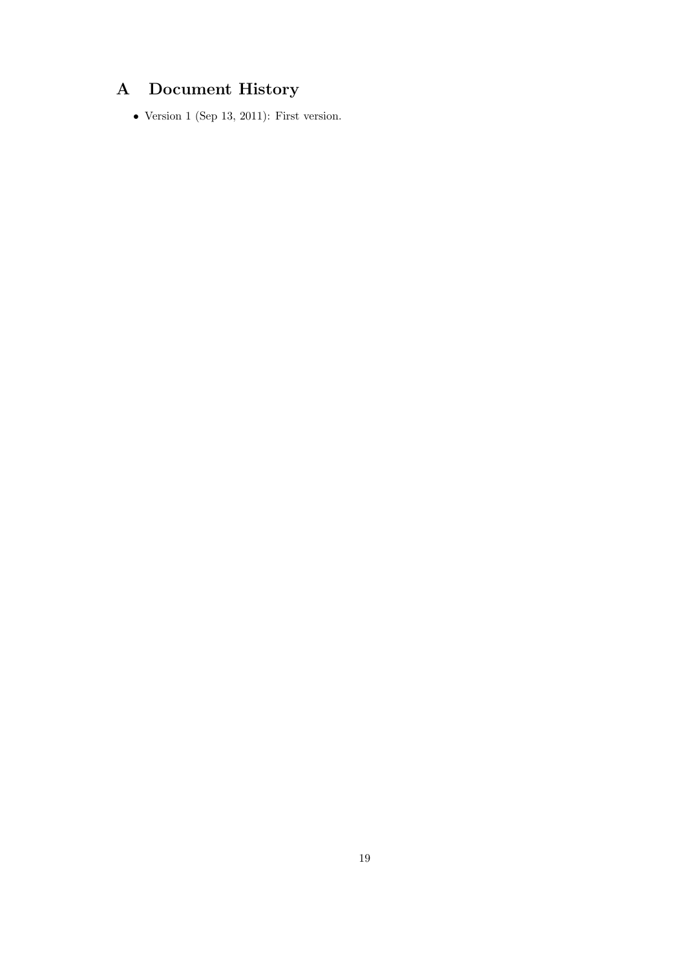# A Document History

 $\bullet$  Version 1 (Sep 13, 2011): First version.